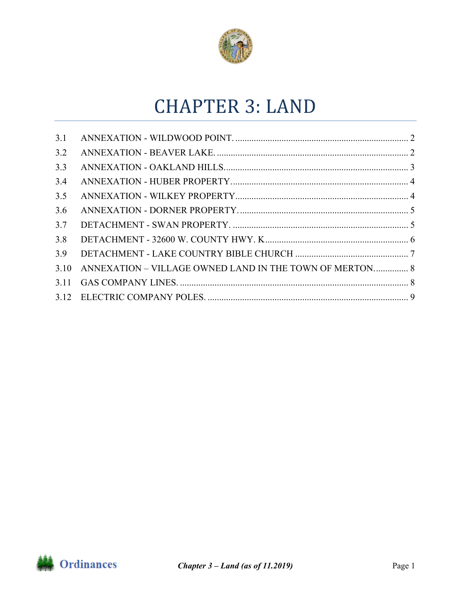

# **CHAPTER 3: LAND**

| 3.1  |                                                         |  |
|------|---------------------------------------------------------|--|
| 3.2  |                                                         |  |
| 3.3  |                                                         |  |
| 3.4  |                                                         |  |
| 3.5  |                                                         |  |
| 3.6  |                                                         |  |
| 3.7  |                                                         |  |
| 3.8  |                                                         |  |
| 3.9  |                                                         |  |
| 3.10 | ANNEXATION – VILLAGE OWNED LAND IN THE TOWN OF MERTON 8 |  |
|      |                                                         |  |
|      |                                                         |  |

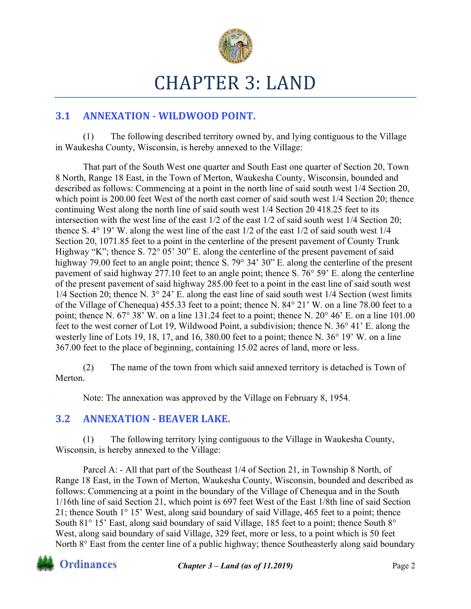

# CHAPTER 3: LAND

## **3.1 ANNEXATION - WILDWOOD POINT.**

(1) The following described territory owned by, and lying contiguous to the Village in Waukesha County, Wisconsin, is hereby annexed to the Village:

That part of the South West one quarter and South East one quarter of Section 20, Town 8 North, Range 18 East, in the Town of Merton, Waukesha County, Wisconsin, bounded and described as follows: Commencing at a point in the north line of said south west 1/4 Section 20, which point is 200.00 feet West of the north east corner of said south west  $1/4$  Section 20; thence continuing West along the north line of said south west 1/4 Section 20 418.25 feet to its intersection with the west line of the east 1/2 of the east 1/2 of said south west 1/4 Section 20; thence S. 4° 19' W. along the west line of the east 1/2 of the east 1/2 of said south west 1/4 Section 20, 1071.85 feet to a point in the centerline of the present pavement of County Trunk Highway "K"; thence S. 72° 05' 30" E. along the centerline of the present pavement of said highway 79.00 feet to an angle point; thence S. 79° 34' 30" E. along the centerline of the present pavement of said highway 277.10 feet to an angle point; thence S. 76° 59' E. along the centerline of the present pavement of said highway 285.00 feet to a point in the east line of said south west 1/4 Section 20; thence N. 3° 24' E. along the east line of said south west 1/4 Section (west limits of the Village of Chenequa) 455.33 feet to a point; thence N. 84° 21' W. on a line 78.00 feet to a point; thence N. 67° 38' W. on a line 131.24 feet to a point; thence N. 20° 46' E. on a line 101.00 feet to the west corner of Lot 19, Wildwood Point, a subdivision; thence N. 36° 41' E. along the westerly line of Lots 19, 18, 17, and 16, 380.00 feet to a point; thence N. 36° 19' W. on a line 367.00 feet to the place of beginning, containing 15.02 acres of land, more or less.

(2) The name of the town from which said annexed territory is detached is Town of Merton.

Note: The annexation was approved by the Village on February 8, 1954.

#### **3.2 ANNEXATION ‐ BEAVER LAKE.**

(1) The following territory lying contiguous to the Village in Waukesha County, Wisconsin, is hereby annexed to the Village:

Parcel A: - All that part of the Southeast 1/4 of Section 21, in Township 8 North, of Range 18 East, in the Town of Merton, Waukesha County, Wisconsin, bounded and described as follows: Commencing at a point in the boundary of the Village of Chenequa and in the South 1/16th line of said Section 21, which point is 697 feet West of the East 1/8th line of said Section 21; thence South 1° 15' West, along said boundary of said Village, 465 feet to a point; thence South 81<sup>°</sup> 15' East, along said boundary of said Village, 185 feet to a point; thence South 8<sup>°</sup> West, along said boundary of said Village, 329 feet, more or less, to a point which is 50 feet North 8° East from the center line of a public highway; thence Southeasterly along said boundary

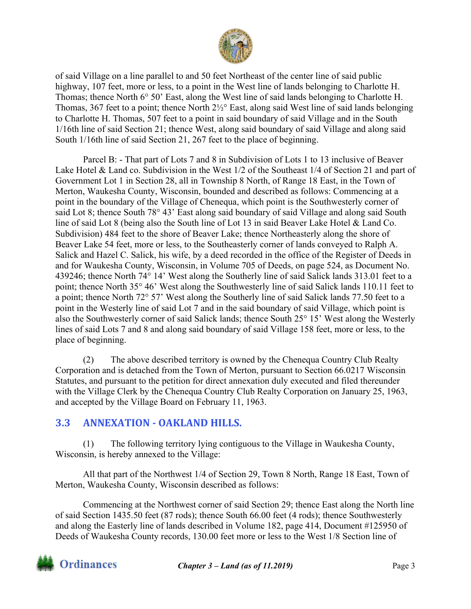

of said Village on a line parallel to and 50 feet Northeast of the center line of said public highway, 107 feet, more or less, to a point in the West line of lands belonging to Charlotte H. Thomas; thence North 6° 50' East, along the West line of said lands belonging to Charlotte H. Thomas, 367 feet to a point; thence North 2½° East, along said West line of said lands belonging to Charlotte H. Thomas, 507 feet to a point in said boundary of said Village and in the South 1/16th line of said Section 21; thence West, along said boundary of said Village and along said South 1/16th line of said Section 21, 267 feet to the place of beginning.

Parcel B: - That part of Lots 7 and 8 in Subdivision of Lots 1 to 13 inclusive of Beaver Lake Hotel & Land co. Subdivision in the West 1/2 of the Southeast 1/4 of Section 21 and part of Government Lot 1 in Section 28, all in Township 8 North, of Range 18 East, in the Town of Merton, Waukesha County, Wisconsin, bounded and described as follows: Commencing at a point in the boundary of the Village of Chenequa, which point is the Southwesterly corner of said Lot 8; thence South 78° 43' East along said boundary of said Village and along said South line of said Lot 8 (being also the South line of Lot 13 in said Beaver Lake Hotel & Land Co. Subdivision) 484 feet to the shore of Beaver Lake; thence Northeasterly along the shore of Beaver Lake 54 feet, more or less, to the Southeasterly corner of lands conveyed to Ralph A. Salick and Hazel C. Salick, his wife, by a deed recorded in the office of the Register of Deeds in and for Waukesha County, Wisconsin, in Volume 705 of Deeds, on page 524, as Document No. 439246; thence North 74° 14' West along the Southerly line of said Salick lands 313.01 feet to a point; thence North 35° 46' West along the Southwesterly line of said Salick lands 110.11 feet to a point; thence North 72° 57' West along the Southerly line of said Salick lands 77.50 feet to a point in the Westerly line of said Lot 7 and in the said boundary of said Village, which point is also the Southwesterly corner of said Salick lands; thence South 25° 15' West along the Westerly lines of said Lots 7 and 8 and along said boundary of said Village 158 feet, more or less, to the place of beginning.

(2) The above described territory is owned by the Chenequa Country Club Realty Corporation and is detached from the Town of Merton, pursuant to Section 66.0217 Wisconsin Statutes, and pursuant to the petition for direct annexation duly executed and filed thereunder with the Village Clerk by the Chenequa Country Club Realty Corporation on January 25, 1963, and accepted by the Village Board on February 11, 1963.

#### **3.3 ANNEXATION - OAKLAND HILLS.**

(1) The following territory lying contiguous to the Village in Waukesha County, Wisconsin, is hereby annexed to the Village:

All that part of the Northwest 1/4 of Section 29, Town 8 North, Range 18 East, Town of Merton, Waukesha County, Wisconsin described as follows:

Commencing at the Northwest corner of said Section 29; thence East along the North line of said Section 1435.50 feet (87 rods); thence South 66.00 feet (4 rods); thence Southwesterly and along the Easterly line of lands described in Volume 182, page 414, Document #125950 of Deeds of Waukesha County records, 130.00 feet more or less to the West 1/8 Section line of

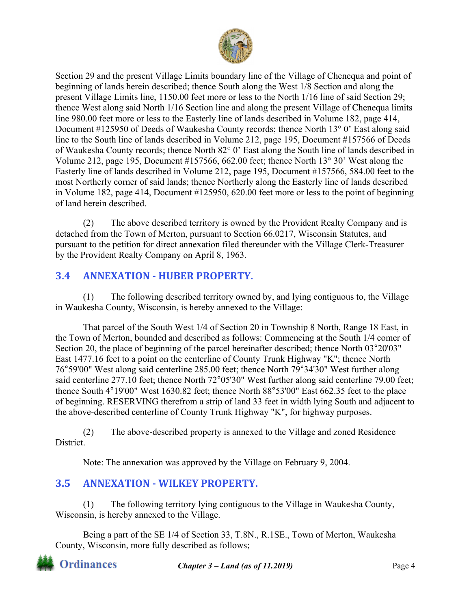

Section 29 and the present Village Limits boundary line of the Village of Chenequa and point of beginning of lands herein described; thence South along the West 1/8 Section and along the present Village Limits line, 1150.00 feet more or less to the North 1/16 line of said Section 29; thence West along said North 1/16 Section line and along the present Village of Chenequa limits line 980.00 feet more or less to the Easterly line of lands described in Volume 182, page 414, Document #125950 of Deeds of Waukesha County records; thence North 13° 0' East along said line to the South line of lands described in Volume 212, page 195, Document #157566 of Deeds of Waukesha County records; thence North 82° 0' East along the South line of lands described in Volume 212, page 195, Document #157566, 662.00 feet; thence North 13° 30' West along the Easterly line of lands described in Volume 212, page 195, Document #157566, 584.00 feet to the most Northerly corner of said lands; thence Northerly along the Easterly line of lands described in Volume 182, page 414, Document #125950, 620.00 feet more or less to the point of beginning of land herein described.

(2) The above described territory is owned by the Provident Realty Company and is detached from the Town of Merton, pursuant to Section 66.0217, Wisconsin Statutes, and pursuant to the petition for direct annexation filed thereunder with the Village Clerk-Treasurer by the Provident Realty Company on April 8, 1963.

# **3.4 ANNEXATION ‐ HUBER PROPERTY.**

(1) The following described territory owned by, and lying contiguous to, the Village in Waukesha County, Wisconsin, is hereby annexed to the Village:

That parcel of the South West 1/4 of Section 20 in Township 8 North, Range 18 East, in the Town of Merton, bounded and described as follows: Commencing at the South 1/4 comer of Section 20, the place of beginning of the parcel hereinafter described; thence North 03°20'03" East 1477.16 feet to a point on the centerline of County Trunk Highway "K"; thence North 76°59'00" West along said centerline 285.00 feet; thence North 79°34'30" West further along said centerline 277.10 feet; thence North 72°05'30" West further along said centerline 79.00 feet; thence South 4°19'00" West 1630.82 feet; thence North 88°53'00" East 662.35 feet to the place of beginning. RESERVING therefrom a strip of land 33 feet in width lying South and adjacent to the above-described centerline of County Trunk Highway "K", for highway purposes.

(2) The above-described property is annexed to the Village and zoned Residence District.

Note: The annexation was approved by the Village on February 9, 2004.

## **3.5 ANNEXATION - WILKEY PROPERTY.**

(1) The following territory lying contiguous to the Village in Waukesha County, Wisconsin, is hereby annexed to the Village.

Being a part of the SE 1/4 of Section 33, T.8N., R.1SE., Town of Merton, Waukesha County, Wisconsin, more fully described as follows;



*Chapter 3 – Land (as of 11.2019)* Page 4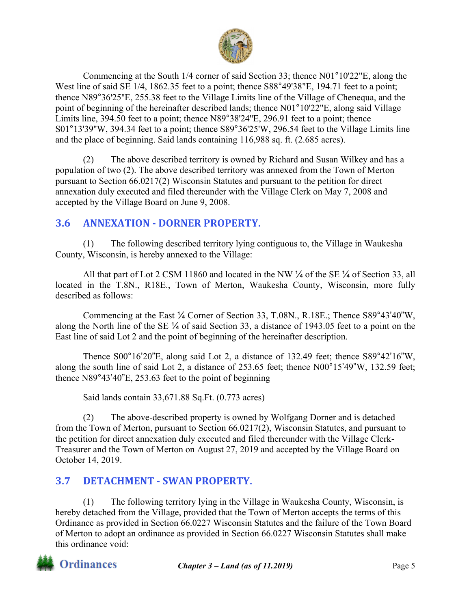

Commencing at the South 1/4 corner of said Section 33; thence N01°10'22"E, along the West line of said SE 1/4, 1862.35 feet to a point; thence S88°49'38"E, 194.71 feet to a point; thence N89°36'25''E, 255.38 feet to the Village Limits line of the Village of Chenequa, and the point of beginning of the hereinafter described lands; thence N01°10'22"E, along said Village Limits line, 394.50 feet to a point; thence N89°38'24''E, 296.91 feet to a point; thence S01°13'39''W, 394.34 feet to a point; thence S89°36'25'W, 296.54 feet to the Village Limits line and the place of beginning. Said lands containing 116,988 sq. ft. (2.685 acres).

(2) The above described territory is owned by Richard and Susan Wilkey and has a population of two (2). The above described territory was annexed from the Town of Merton pursuant to Section 66.0217(2) Wisconsin Statutes and pursuant to the petition for direct annexation duly executed and filed thereunder with the Village Clerk on May 7, 2008 and accepted by the Village Board on June 9, 2008.

## **3.6 ANNEXATION ‐ DORNER PROPERTY.**

(1) The following described territory lying contiguous to, the Village in Waukesha County, Wisconsin, is hereby annexed to the Village:

All that part of Lot 2 CSM 11860 and located in the NW ¼ of the SE ¼ of Section 33, all located in the T.8N., R18E., Town of Merton, Waukesha County, Wisconsin, more fully described as follows:

Commencing at the East ¼ Corner of Section 33, T.08N., R.18E.; Thence S89°43'40"W, along the North line of the SE ¼ of said Section 33, a distance of 1943.05 feet to a point on the East line of said Lot 2 and the point of beginning of the hereinafter description.

Thence S00°16'20"E, along said Lot 2, a distance of 132.49 feet; thence S89°42'16"W, along the south line of said Lot 2, a distance of 253.65 feet; thence N00°15'49"W, 132.59 feet; thence N89°43'40"E, 253.63 feet to the point of beginning

Said lands contain 33,671.88 Sq.Ft. (0.773 acres)

(2) The above-described property is owned by Wolfgang Dorner and is detached from the Town of Merton, pursuant to Section 66.0217(2), Wisconsin Statutes, and pursuant to the petition for direct annexation duly executed and filed thereunder with the Village Clerk-Treasurer and the Town of Merton on August 27, 2019 and accepted by the Village Board on October 14, 2019.

## **3.7 DETACHMENT · SWAN PROPERTY.**

(1) The following territory lying in the Village in Waukesha County, Wisconsin, is hereby detached from the Village, provided that the Town of Merton accepts the terms of this Ordinance as provided in Section 66.0227 Wisconsin Statutes and the failure of the Town Board of Merton to adopt an ordinance as provided in Section 66.0227 Wisconsin Statutes shall make this ordinance void:

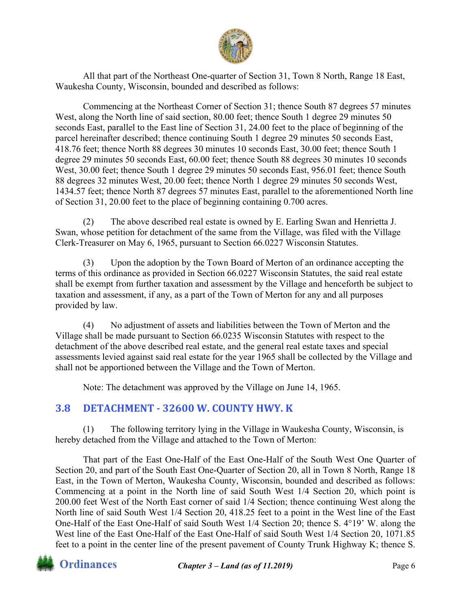

All that part of the Northeast One-quarter of Section 31, Town 8 North, Range 18 East, Waukesha County, Wisconsin, bounded and described as follows:

Commencing at the Northeast Corner of Section 31; thence South 87 degrees 57 minutes West, along the North line of said section, 80.00 feet; thence South 1 degree 29 minutes 50 seconds East, parallel to the East line of Section 31, 24.00 feet to the place of beginning of the parcel hereinafter described; thence continuing South 1 degree 29 minutes 50 seconds East, 418.76 feet; thence North 88 degrees 30 minutes 10 seconds East, 30.00 feet; thence South 1 degree 29 minutes 50 seconds East, 60.00 feet; thence South 88 degrees 30 minutes 10 seconds West, 30.00 feet; thence South 1 degree 29 minutes 50 seconds East, 956.01 feet; thence South 88 degrees 32 minutes West, 20.00 feet; thence North 1 degree 29 minutes 50 seconds West, 1434.57 feet; thence North 87 degrees 57 minutes East, parallel to the aforementioned North line of Section 31, 20.00 feet to the place of beginning containing 0.700 acres.

(2) The above described real estate is owned by E. Earling Swan and Henrietta J. Swan, whose petition for detachment of the same from the Village, was filed with the Village Clerk-Treasurer on May 6, 1965, pursuant to Section 66.0227 Wisconsin Statutes.

(3) Upon the adoption by the Town Board of Merton of an ordinance accepting the terms of this ordinance as provided in Section 66.0227 Wisconsin Statutes, the said real estate shall be exempt from further taxation and assessment by the Village and henceforth be subject to taxation and assessment, if any, as a part of the Town of Merton for any and all purposes provided by law.

(4) No adjustment of assets and liabilities between the Town of Merton and the Village shall be made pursuant to Section 66.0235 Wisconsin Statutes with respect to the detachment of the above described real estate, and the general real estate taxes and special assessments levied against said real estate for the year 1965 shall be collected by the Village and shall not be apportioned between the Village and the Town of Merton.

Note: The detachment was approved by the Village on June 14, 1965.

#### **3.8 DETACHMENT ‐ 32600 W. COUNTY HWY. K**

(1) The following territory lying in the Village in Waukesha County, Wisconsin, is hereby detached from the Village and attached to the Town of Merton:

That part of the East One-Half of the East One-Half of the South West One Quarter of Section 20, and part of the South East One-Quarter of Section 20, all in Town 8 North, Range 18 East, in the Town of Merton, Waukesha County, Wisconsin, bounded and described as follows: Commencing at a point in the North line of said South West 1/4 Section 20, which point is 200.00 feet West of the North East corner of said 1/4 Section; thence continuing West along the North line of said South West 1/4 Section 20, 418.25 feet to a point in the West line of the East One-Half of the East One-Half of said South West 1/4 Section 20; thence S. 4°19' W. along the West line of the East One-Half of the East One-Half of said South West 1/4 Section 20, 1071.85 feet to a point in the center line of the present pavement of County Trunk Highway K; thence S.



*Chapter 3 – Land (as of 11.2019)* Page 6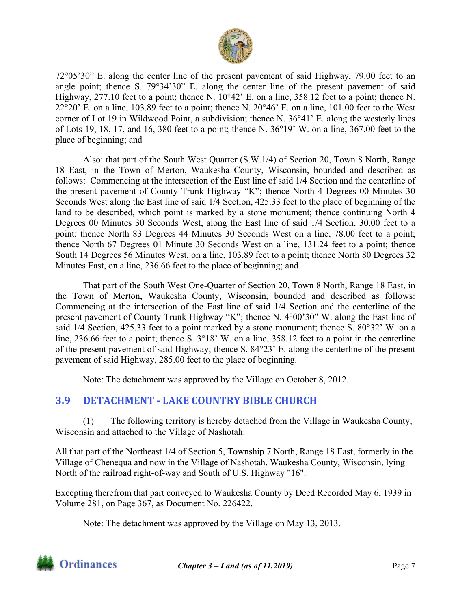

72°05'30" E. along the center line of the present pavement of said Highway, 79.00 feet to an angle point; thence S. 79°34'30" E. along the center line of the present pavement of said Highway, 277.10 feet to a point; thence N. 10°42' E. on a line, 358.12 feet to a point; thence N.  $22^{\circ}20'$  E. on a line, 103.89 feet to a point; thence N.  $20^{\circ}46'$  E. on a line, 101.00 feet to the West corner of Lot 19 in Wildwood Point, a subdivision; thence N. 36°41' E. along the westerly lines of Lots 19, 18, 17, and 16, 380 feet to a point; thence N. 36°19' W. on a line, 367.00 feet to the place of beginning; and

Also: that part of the South West Quarter (S.W.1/4) of Section 20, Town 8 North, Range 18 East, in the Town of Merton, Waukesha County, Wisconsin, bounded and described as follows: Commencing at the intersection of the East line of said 1/4 Section and the centerline of the present pavement of County Trunk Highway "K"; thence North 4 Degrees 00 Minutes 30 Seconds West along the East line of said 1/4 Section, 425.33 feet to the place of beginning of the land to be described, which point is marked by a stone monument; thence continuing North 4 Degrees 00 Minutes 30 Seconds West, along the East line of said 1/4 Section, 30.00 feet to a point; thence North 83 Degrees 44 Minutes 30 Seconds West on a line, 78.00 feet to a point; thence North 67 Degrees 01 Minute 30 Seconds West on a line, 131.24 feet to a point; thence South 14 Degrees 56 Minutes West, on a line, 103.89 feet to a point; thence North 80 Degrees 32 Minutes East, on a line, 236.66 feet to the place of beginning; and

That part of the South West One-Quarter of Section 20, Town 8 North, Range 18 East, in the Town of Merton, Waukesha County, Wisconsin, bounded and described as follows: Commencing at the intersection of the East line of said 1/4 Section and the centerline of the present pavement of County Trunk Highway "K"; thence N. 4°00'30" W. along the East line of said 1/4 Section, 425.33 feet to a point marked by a stone monument; thence S. 80°32' W. on a line, 236.66 feet to a point; thence S.  $3^{\circ}18'$  W. on a line, 358.12 feet to a point in the centerline of the present pavement of said Highway; thence S. 84°23' E. along the centerline of the present pavement of said Highway, 285.00 feet to the place of beginning.

Note: The detachment was approved by the Village on October 8, 2012.

## **3.9 DETACHMENT ‐ LAKE COUNTRY BIBLE CHURCH**

(1) The following territory is hereby detached from the Village in Waukesha County, Wisconsin and attached to the Village of Nashotah:

All that part of the Northeast 1/4 of Section 5, Township 7 North, Range 18 East, formerly in the Village of Chenequa and now in the Village of Nashotah, Waukesha County, Wisconsin, lying North of the railroad right-of-way and South of U.S. Highway "16".

Excepting therefrom that part conveyed to Waukesha County by Deed Recorded May 6, 1939 in Volume 281, on Page 367, as Document No. 226422.

Note: The detachment was approved by the Village on May 13, 2013.

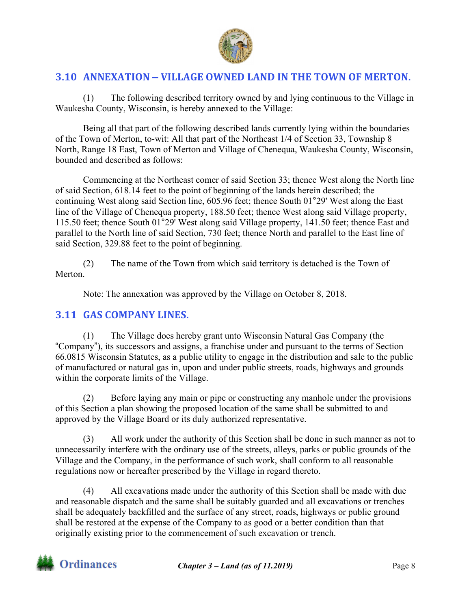

## **3.10 ANNEXATION – VILLAGE OWNED LAND IN THE TOWN OF MERTON.**

(1) The following described territory owned by and lying continuous to the Village in Waukesha County, Wisconsin, is hereby annexed to the Village:

Being all that part of the following described lands currently lying within the boundaries of the Town of Merton, to-wit: All that part of the Northeast 1/4 of Section 33, Township 8 North, Range 18 East, Town of Merton and Village of Chenequa, Waukesha County, Wisconsin, bounded and described as follows:

Commencing at the Northeast comer of said Section 33; thence West along the North line of said Section, 618.14 feet to the point of beginning of the lands herein described; the continuing West along said Section line, 605.96 feet; thence South 01°29' West along the East line of the Village of Chenequa property, 188.50 feet; thence West along said Village property, 115.50 feet; thence South 01°29' West along said Village property, 141.50 feet; thence East and parallel to the North line of said Section, 730 feet; thence North and parallel to the East line of said Section, 329.88 feet to the point of beginning.

(2) The name of the Town from which said territory is detached is the Town of Merton.

Note: The annexation was approved by the Village on October 8, 2018.

#### **3.11 GAS COMPANY LINES.**

(1) The Village does hereby grant unto Wisconsin Natural Gas Company (the "Company"), its successors and assigns, a franchise under and pursuant to the terms of Section 66.0815 Wisconsin Statutes, as a public utility to engage in the distribution and sale to the public of manufactured or natural gas in, upon and under public streets, roads, highways and grounds within the corporate limits of the Village.

(2) Before laying any main or pipe or constructing any manhole under the provisions of this Section a plan showing the proposed location of the same shall be submitted to and approved by the Village Board or its duly authorized representative.

(3) All work under the authority of this Section shall be done in such manner as not to unnecessarily interfere with the ordinary use of the streets, alleys, parks or public grounds of the Village and the Company, in the performance of such work, shall conform to all reasonable regulations now or hereafter prescribed by the Village in regard thereto.

(4) All excavations made under the authority of this Section shall be made with due and reasonable dispatch and the same shall be suitably guarded and all excavations or trenches shall be adequately backfilled and the surface of any street, roads, highways or public ground shall be restored at the expense of the Company to as good or a better condition than that originally existing prior to the commencement of such excavation or trench.